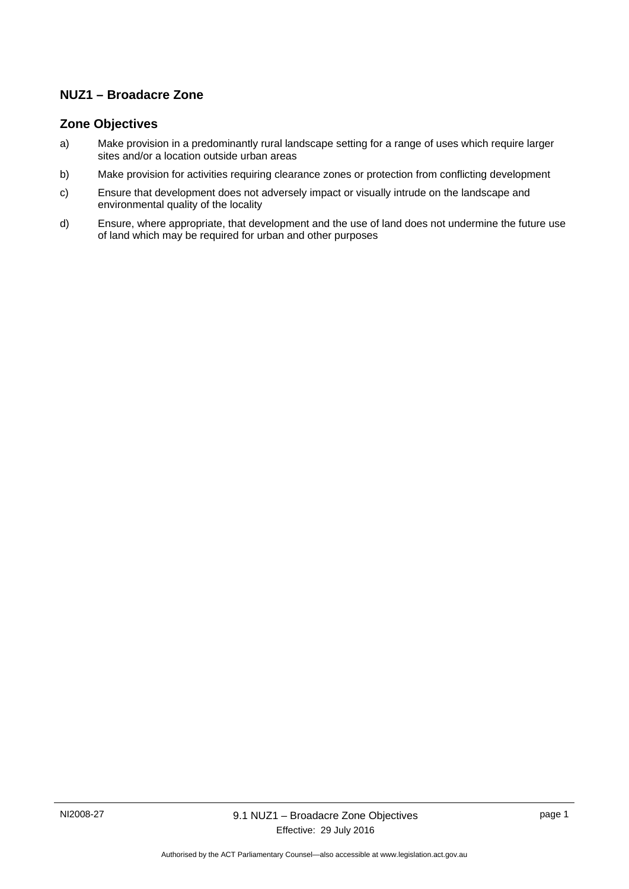# **NUZ1 – Broadacre Zone**

## **Zone Objectives**

- a) Make provision in a predominantly rural landscape setting for a range of uses which require larger sites and/or a location outside urban areas
- b) Make provision for activities requiring clearance zones or protection from conflicting development
- c) Ensure that development does not adversely impact or visually intrude on the landscape and environmental quality of the locality
- d) Ensure, where appropriate, that development and the use of land does not undermine the future use of land which may be required for urban and other purposes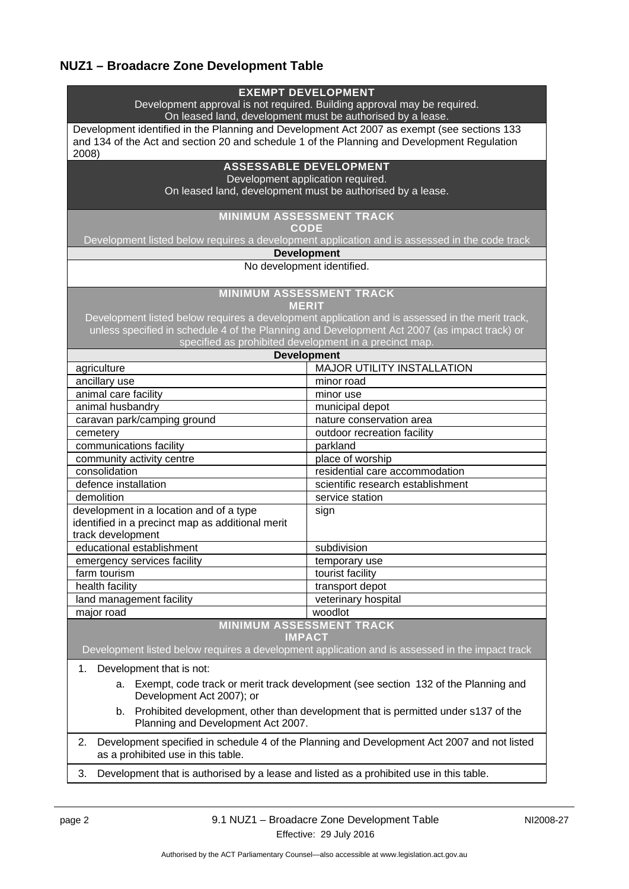# **NUZ1 – Broadacre Zone Development Table**

| <b>EXEMPT DEVELOPMENT</b><br>Development approval is not required. Building approval may be required.                                                                                      |                                                                                                 |  |
|--------------------------------------------------------------------------------------------------------------------------------------------------------------------------------------------|-------------------------------------------------------------------------------------------------|--|
| On leased land, development must be authorised by a lease.                                                                                                                                 |                                                                                                 |  |
| Development identified in the Planning and Development Act 2007 as exempt (see sections 133<br>and 134 of the Act and section 20 and schedule 1 of the Planning and Development Regulation |                                                                                                 |  |
| 2008)                                                                                                                                                                                      |                                                                                                 |  |
| <b>ASSESSABLE DEVELOPMENT</b>                                                                                                                                                              |                                                                                                 |  |
| Development application required.                                                                                                                                                          |                                                                                                 |  |
| On leased land, development must be authorised by a lease.                                                                                                                                 |                                                                                                 |  |
|                                                                                                                                                                                            |                                                                                                 |  |
| <b>MINIMUM ASSESSMENT TRACK</b><br><b>CODE</b>                                                                                                                                             |                                                                                                 |  |
| Development listed below requires a development application and is assessed in the code track                                                                                              |                                                                                                 |  |
| <b>Development</b>                                                                                                                                                                         |                                                                                                 |  |
| No development identified.                                                                                                                                                                 |                                                                                                 |  |
| <b>MINIMUM ASSESSMENT TRACK</b><br><b>MERIT</b>                                                                                                                                            |                                                                                                 |  |
|                                                                                                                                                                                            | Development listed below requires a development application and is assessed in the merit track, |  |
| unless specified in schedule 4 of the Planning and Development Act 2007 (as impact track) or                                                                                               |                                                                                                 |  |
| specified as prohibited development in a precinct map.                                                                                                                                     |                                                                                                 |  |
| <b>Development</b>                                                                                                                                                                         |                                                                                                 |  |
| agriculture                                                                                                                                                                                | <b>MAJOR UTILITY INSTALLATION</b>                                                               |  |
| ancillary use                                                                                                                                                                              | minor road                                                                                      |  |
| animal care facility                                                                                                                                                                       | minor use                                                                                       |  |
| animal husbandry                                                                                                                                                                           | municipal depot                                                                                 |  |
| caravan park/camping ground                                                                                                                                                                | nature conservation area                                                                        |  |
| cemetery                                                                                                                                                                                   | outdoor recreation facility                                                                     |  |
| communications facility                                                                                                                                                                    | parkland                                                                                        |  |
| community activity centre                                                                                                                                                                  | place of worship                                                                                |  |
| consolidation                                                                                                                                                                              | residential care accommodation                                                                  |  |
| defence installation                                                                                                                                                                       | scientific research establishment                                                               |  |
| demolition                                                                                                                                                                                 | service station                                                                                 |  |
| development in a location and of a type                                                                                                                                                    | sign                                                                                            |  |
| identified in a precinct map as additional merit                                                                                                                                           |                                                                                                 |  |
| track development                                                                                                                                                                          |                                                                                                 |  |
| educational establishment                                                                                                                                                                  | subdivision                                                                                     |  |
| emergency services facility                                                                                                                                                                | temporary use                                                                                   |  |
| farm tourism                                                                                                                                                                               | tourist facility                                                                                |  |
| health facility                                                                                                                                                                            | transport depot                                                                                 |  |
| land management facility                                                                                                                                                                   | veterinary hospital                                                                             |  |
| major road                                                                                                                                                                                 | woodlot                                                                                         |  |
|                                                                                                                                                                                            | <b>MINIMUM ASSESSMENT TRACK</b>                                                                 |  |
| <b>IMPACT</b><br>Development listed below requires a development application and is assessed in the impact track                                                                           |                                                                                                 |  |
| Development that is not:<br>1.                                                                                                                                                             |                                                                                                 |  |
| а.<br>Development Act 2007); or                                                                                                                                                            | Exempt, code track or merit track development (see section 132 of the Planning and              |  |
| Prohibited development, other than development that is permitted under s137 of the<br>b.<br>Planning and Development Act 2007.                                                             |                                                                                                 |  |
| Development specified in schedule 4 of the Planning and Development Act 2007 and not listed<br>2.<br>as a prohibited use in this table.                                                    |                                                                                                 |  |
| Development that is authorised by a lease and listed as a prohibited use in this table.<br>3.                                                                                              |                                                                                                 |  |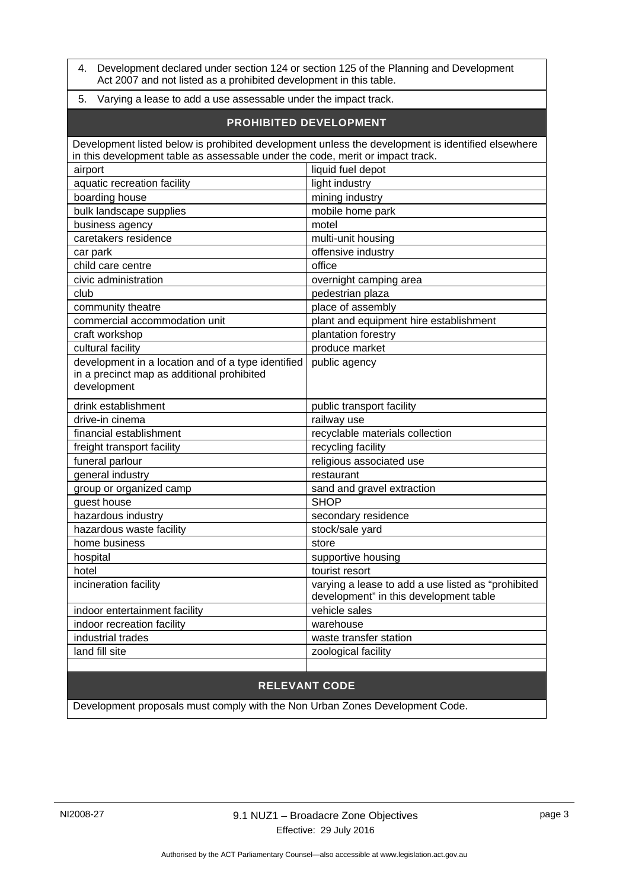4. Development declared under section 124 or section 125 of the Planning and Development Act 2007 and not listed as a prohibited development in this table.

#### 5. Varying a lease to add a use assessable under the impact track.

#### **PROHIBITED DEVELOPMENT**

| Development listed below is prohibited development unless the development is identified elsewhere |                                                    |
|---------------------------------------------------------------------------------------------------|----------------------------------------------------|
| in this development table as assessable under the code, merit or impact track.                    |                                                    |
| airport                                                                                           | liquid fuel depot                                  |
| aquatic recreation facility                                                                       | light industry                                     |
| boarding house                                                                                    | mining industry                                    |
| bulk landscape supplies                                                                           | mobile home park                                   |
| business agency                                                                                   | motel                                              |
| caretakers residence                                                                              | multi-unit housing                                 |
| car park                                                                                          | offensive industry                                 |
| child care centre                                                                                 | office                                             |
| civic administration                                                                              | overnight camping area                             |
| club                                                                                              | pedestrian plaza                                   |
| community theatre                                                                                 | place of assembly                                  |
| commercial accommodation unit                                                                     | plant and equipment hire establishment             |
| craft workshop                                                                                    | plantation forestry                                |
| cultural facility                                                                                 | produce market                                     |
| development in a location and of a type identified                                                | public agency                                      |
| in a precinct map as additional prohibited                                                        |                                                    |
| development                                                                                       |                                                    |
|                                                                                                   |                                                    |
| drink establishment                                                                               | public transport facility                          |
| drive-in cinema                                                                                   | railway use                                        |
| financial establishment                                                                           | recyclable materials collection                    |
| freight transport facility                                                                        | recycling facility                                 |
| funeral parlour                                                                                   | religious associated use                           |
| general industry                                                                                  | restaurant                                         |
| group or organized camp                                                                           | sand and gravel extraction                         |
| guest house                                                                                       | <b>SHOP</b>                                        |
| hazardous industry                                                                                | secondary residence                                |
| hazardous waste facility                                                                          | stock/sale yard                                    |
| home business                                                                                     | store                                              |
| hospital                                                                                          | supportive housing                                 |
| hotel                                                                                             | tourist resort                                     |
| incineration facility                                                                             | varying a lease to add a use listed as "prohibited |
|                                                                                                   | development" in this development table             |
| indoor entertainment facility                                                                     | vehicle sales                                      |
| indoor recreation facility                                                                        | warehouse                                          |
| industrial trades                                                                                 | waste transfer station                             |
| land fill site                                                                                    | zoological facility                                |

# **RELEVANT CODE**

Development proposals must comply with the Non Urban Zones Development Code.